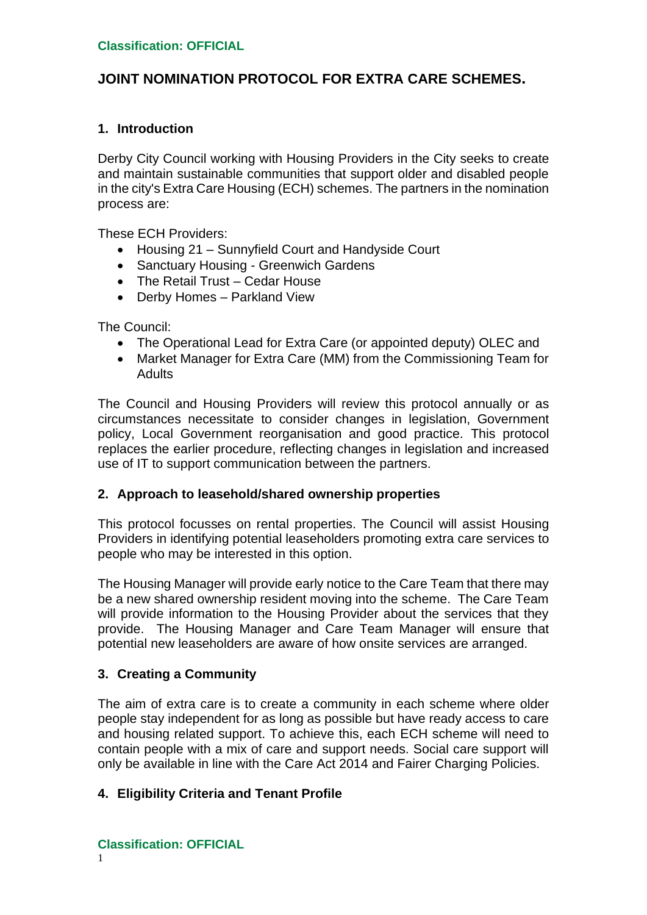## **JOINT NOMINATION PROTOCOL FOR EXTRA CARE SCHEMES.**

## **1. Introduction**

Derby City Council working with Housing Providers in the City seeks to create and maintain sustainable communities that support older and disabled people in the city's Extra Care Housing (ECH) schemes. The partners in the nomination process are:

These ECH Providers:

- Housing 21 Sunnyfield Court and Handyside Court
- Sanctuary Housing Greenwich Gardens
- The Retail Trust Cedar House
- Derby Homes Parkland View

The Council:

- The Operational Lead for Extra Care (or appointed deputy) OLEC and
- Market Manager for Extra Care (MM) from the Commissioning Team for **Adults**

The Council and Housing Providers will review this protocol annually or as circumstances necessitate to consider changes in legislation, Government policy, Local Government reorganisation and good practice. This protocol replaces the earlier procedure, reflecting changes in legislation and increased use of IT to support communication between the partners.

### **2. Approach to leasehold/shared ownership properties**

This protocol focusses on rental properties. The Council will assist Housing Providers in identifying potential leaseholders promoting extra care services to people who may be interested in this option.

The Housing Manager will provide early notice to the Care Team that there may be a new shared ownership resident moving into the scheme. The Care Team will provide information to the Housing Provider about the services that they provide. The Housing Manager and Care Team Manager will ensure that potential new leaseholders are aware of how onsite services are arranged.

## **3. Creating a Community**

The aim of extra care is to create a community in each scheme where older people stay independent for as long as possible but have ready access to care and housing related support. To achieve this, each ECH scheme will need to contain people with a mix of care and support needs. Social care support will only be available in line with the Care Act 2014 and Fairer Charging Policies.

## **4. Eligibility Criteria and Tenant Profile**

**Classification: OFFICIAL**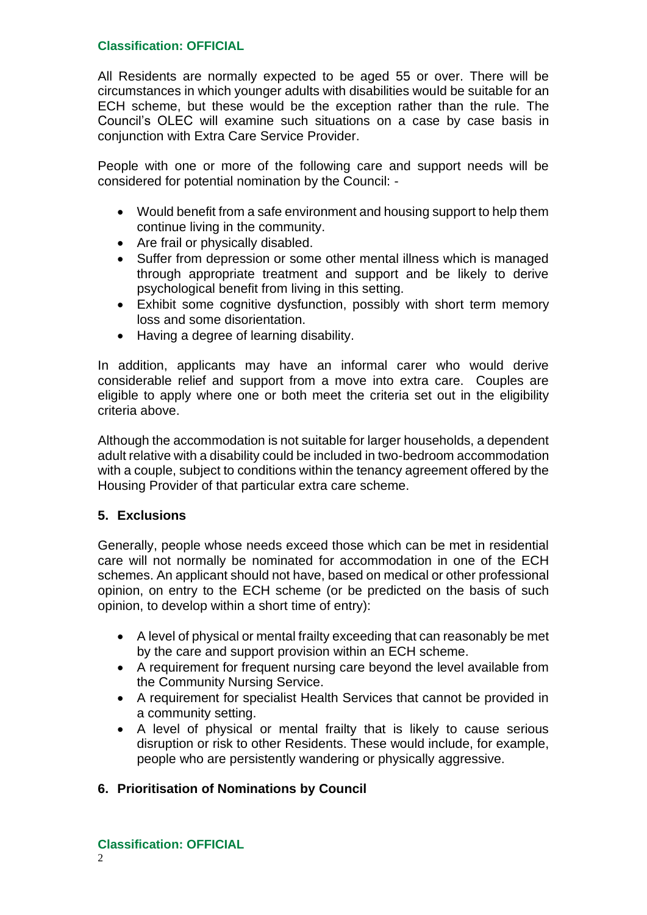All Residents are normally expected to be aged 55 or over. There will be circumstances in which younger adults with disabilities would be suitable for an ECH scheme, but these would be the exception rather than the rule. The Council's OLEC will examine such situations on a case by case basis in conjunction with Extra Care Service Provider.

People with one or more of the following care and support needs will be considered for potential nomination by the Council: -

- Would benefit from a safe environment and housing support to help them continue living in the community.
- Are frail or physically disabled.
- Suffer from depression or some other mental illness which is managed through appropriate treatment and support and be likely to derive psychological benefit from living in this setting.
- Exhibit some cognitive dysfunction, possibly with short term memory loss and some disorientation.
- Having a degree of learning disability.

In addition, applicants may have an informal carer who would derive considerable relief and support from a move into extra care. Couples are eligible to apply where one or both meet the criteria set out in the eligibility criteria above.

Although the accommodation is not suitable for larger households, a dependent adult relative with a disability could be included in two-bedroom accommodation with a couple, subject to conditions within the tenancy agreement offered by the Housing Provider of that particular extra care scheme.

### **5. Exclusions**

Generally, people whose needs exceed those which can be met in residential care will not normally be nominated for accommodation in one of the ECH schemes. An applicant should not have, based on medical or other professional opinion, on entry to the ECH scheme (or be predicted on the basis of such opinion, to develop within a short time of entry):

- A level of physical or mental frailty exceeding that can reasonably be met by the care and support provision within an ECH scheme.
- A requirement for frequent nursing care beyond the level available from the Community Nursing Service.
- A requirement for specialist Health Services that cannot be provided in a community setting.
- A level of physical or mental frailty that is likely to cause serious disruption or risk to other Residents. These would include, for example, people who are persistently wandering or physically aggressive.

## **6. Prioritisation of Nominations by Council**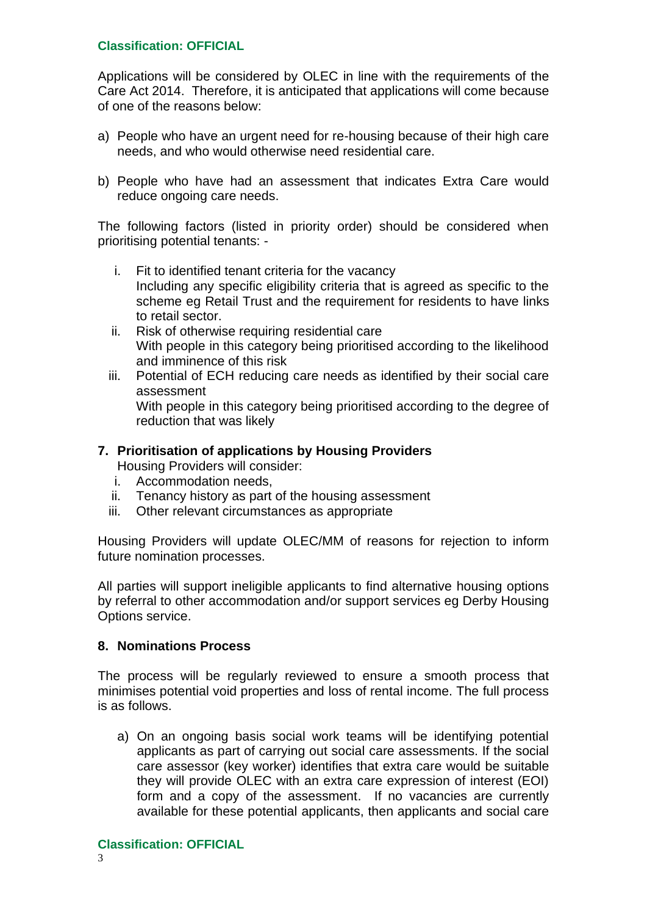Applications will be considered by OLEC in line with the requirements of the Care Act 2014. Therefore, it is anticipated that applications will come because of one of the reasons below:

- a) People who have an urgent need for re-housing because of their high care needs, and who would otherwise need residential care.
- b) People who have had an assessment that indicates Extra Care would reduce ongoing care needs.

The following factors (listed in priority order) should be considered when prioritising potential tenants: -

- i. Fit to identified tenant criteria for the vacancy Including any specific eligibility criteria that is agreed as specific to the scheme eg Retail Trust and the requirement for residents to have links to retail sector.
- ii. Risk of otherwise requiring residential care With people in this category being prioritised according to the likelihood and imminence of this risk
- iii. Potential of ECH reducing care needs as identified by their social care assessment With people in this category being prioritised according to the degree of reduction that was likely

### **7. Prioritisation of applications by Housing Providers**

Housing Providers will consider:

- i. Accommodation needs,
- ii. Tenancy history as part of the housing assessment
- iii. Other relevant circumstances as appropriate

Housing Providers will update OLEC/MM of reasons for rejection to inform future nomination processes.

All parties will support ineligible applicants to find alternative housing options by referral to other accommodation and/or support services eg Derby Housing Options service.

#### **8. Nominations Process**

The process will be regularly reviewed to ensure a smooth process that minimises potential void properties and loss of rental income. The full process is as follows.

a) On an ongoing basis social work teams will be identifying potential applicants as part of carrying out social care assessments. If the social care assessor (key worker) identifies that extra care would be suitable they will provide OLEC with an extra care expression of interest (EOI) form and a copy of the assessment. If no vacancies are currently available for these potential applicants, then applicants and social care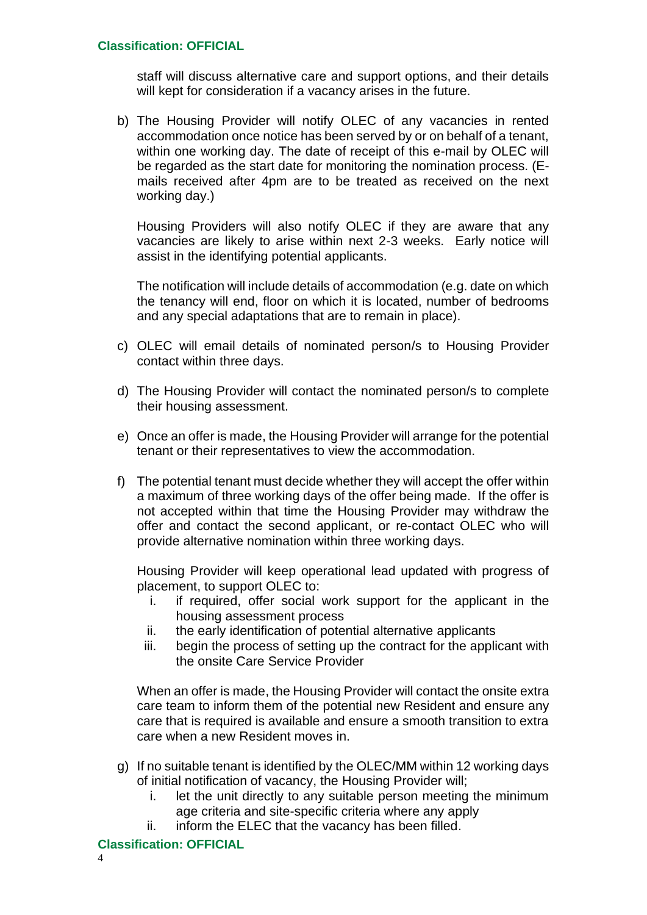staff will discuss alternative care and support options, and their details will kept for consideration if a vacancy arises in the future.

b) The Housing Provider will notify OLEC of any vacancies in rented accommodation once notice has been served by or on behalf of a tenant, within one working day. The date of receipt of this e-mail by OLEC will be regarded as the start date for monitoring the nomination process. (Emails received after 4pm are to be treated as received on the next working day.)

Housing Providers will also notify OLEC if they are aware that any vacancies are likely to arise within next 2-3 weeks. Early notice will assist in the identifying potential applicants.

The notification will include details of accommodation (e.g. date on which the tenancy will end, floor on which it is located, number of bedrooms and any special adaptations that are to remain in place).

- c) OLEC will email details of nominated person/s to Housing Provider contact within three days.
- d) The Housing Provider will contact the nominated person/s to complete their housing assessment.
- e) Once an offer is made, the Housing Provider will arrange for the potential tenant or their representatives to view the accommodation.
- f) The potential tenant must decide whether they will accept the offer within a maximum of three working days of the offer being made. If the offer is not accepted within that time the Housing Provider may withdraw the offer and contact the second applicant, or re-contact OLEC who will provide alternative nomination within three working days.

Housing Provider will keep operational lead updated with progress of placement, to support OLEC to:

- i. if required, offer social work support for the applicant in the housing assessment process
- ii. the early identification of potential alternative applicants
- iii. begin the process of setting up the contract for the applicant with the onsite Care Service Provider

When an offer is made, the Housing Provider will contact the onsite extra care team to inform them of the potential new Resident and ensure any care that is required is available and ensure a smooth transition to extra care when a new Resident moves in.

- g) If no suitable tenant is identified by the OLEC/MM within 12 working days of initial notification of vacancy, the Housing Provider will;
	- i. let the unit directly to any suitable person meeting the minimum age criteria and site-specific criteria where any apply
	- ii. inform the ELEC that the vacancy has been filled.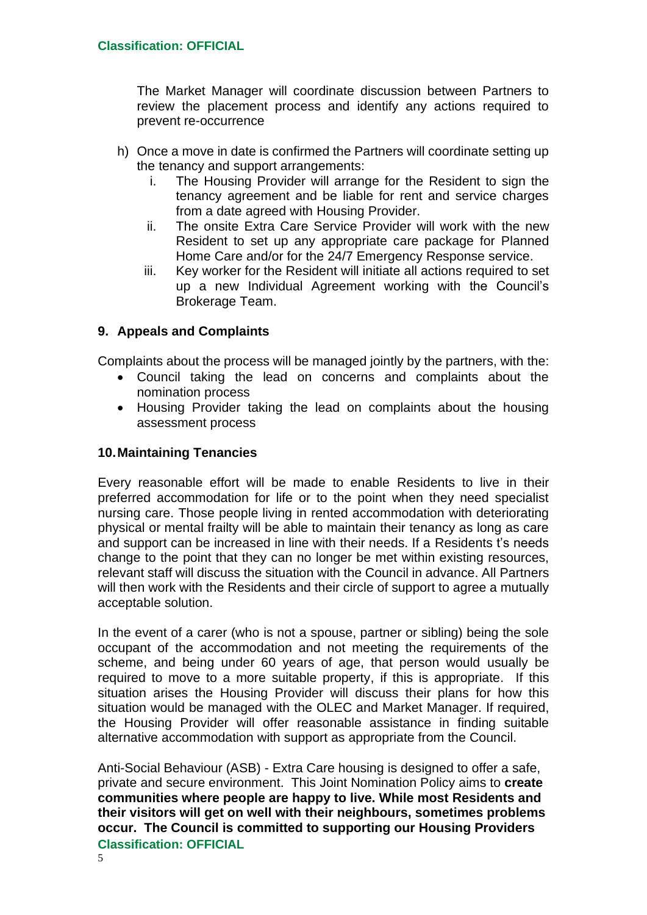The Market Manager will coordinate discussion between Partners to review the placement process and identify any actions required to prevent re-occurrence

- h) Once a move in date is confirmed the Partners will coordinate setting up the tenancy and support arrangements:
	- i. The Housing Provider will arrange for the Resident to sign the tenancy agreement and be liable for rent and service charges from a date agreed with Housing Provider.
	- ii. The onsite Extra Care Service Provider will work with the new Resident to set up any appropriate care package for Planned Home Care and/or for the 24/7 Emergency Response service.
	- iii. Key worker for the Resident will initiate all actions required to set up a new Individual Agreement working with the Council's Brokerage Team.

## **9. Appeals and Complaints**

Complaints about the process will be managed jointly by the partners, with the:

- Council taking the lead on concerns and complaints about the nomination process
- Housing Provider taking the lead on complaints about the housing assessment process

### **10.Maintaining Tenancies**

Every reasonable effort will be made to enable Residents to live in their preferred accommodation for life or to the point when they need specialist nursing care. Those people living in rented accommodation with deteriorating physical or mental frailty will be able to maintain their tenancy as long as care and support can be increased in line with their needs. If a Residents t's needs change to the point that they can no longer be met within existing resources, relevant staff will discuss the situation with the Council in advance. All Partners will then work with the Residents and their circle of support to agree a mutually acceptable solution.

In the event of a carer (who is not a spouse, partner or sibling) being the sole occupant of the accommodation and not meeting the requirements of the scheme, and being under 60 years of age, that person would usually be required to move to a more suitable property, if this is appropriate. If this situation arises the Housing Provider will discuss their plans for how this situation would be managed with the OLEC and Market Manager. If required, the Housing Provider will offer reasonable assistance in finding suitable alternative accommodation with support as appropriate from the Council.

**Classification: OFFICIAL** Anti-Social Behaviour (ASB) - Extra Care housing is designed to offer a safe, private and secure environment. This Joint Nomination Policy aims to **create communities where people are happy to live. While most Residents and their visitors will get on well with their neighbours, sometimes problems occur. The Council is committed to supporting our Housing Providers**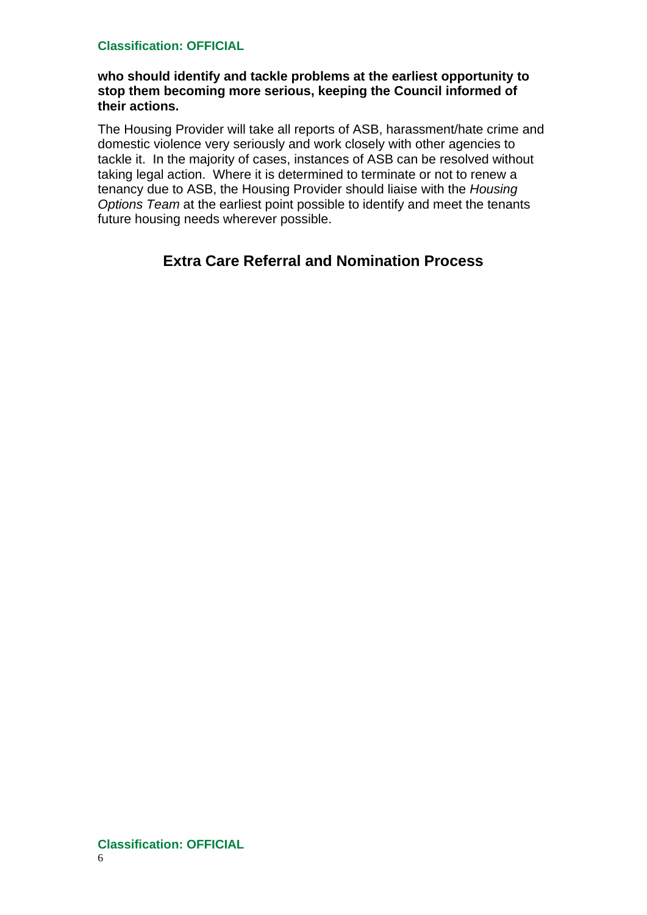### **who should identify and tackle problems at the earliest opportunity to stop them becoming more serious, keeping the Council informed of their actions.**

The Housing Provider will take all reports of ASB, harassment/hate crime and domestic violence very seriously and work closely with other agencies to tackle it. In the majority of cases, instances of ASB can be resolved without taking legal action. Where it is determined to terminate or not to renew a tenancy due to ASB, the Housing Provider should liaise with the *Housing Options Team* at the earliest point possible to identify and meet the tenants future housing needs wherever possible.

# **Extra Care Referral and Nomination Process**